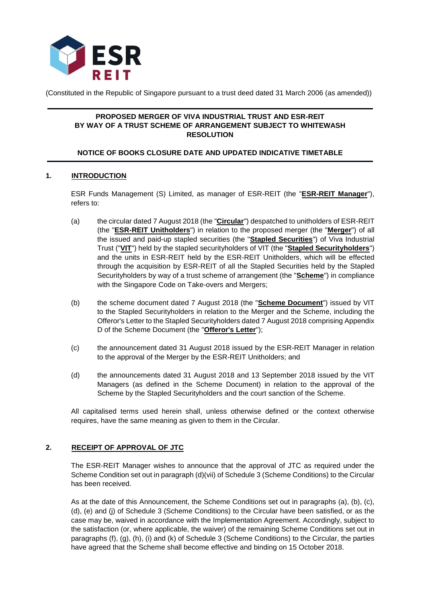

(Constituted in the Republic of Singapore pursuant to a trust deed dated 31 March 2006 (as amended))

## **PROPOSED MERGER OF VIVA INDUSTRIAL TRUST AND ESR-REIT BY WAY OF A TRUST SCHEME OF ARRANGEMENT SUBJECT TO WHITEWASH RESOLUTION**

# **NOTICE OF BOOKS CLOSURE DATE AND UPDATED INDICATIVE TIMETABLE**

# **1. INTRODUCTION**

ESR Funds Management (S) Limited, as manager of ESR-REIT (the "**ESR-REIT Manager**"), refers to:

- (a) the circular dated 7 August 2018 (the "**Circular**") despatched to unitholders of ESR-REIT (the "**ESR-REIT Unitholders**") in relation to the proposed merger (the "**Merger**") of all the issued and paid-up stapled securities (the "**Stapled Securities**") of Viva Industrial Trust ("**VIT**") held by the stapled securityholders of VIT (the "**Stapled Securityholders**") and the units in ESR-REIT held by the ESR-REIT Unitholders, which will be effected through the acquisition by ESR-REIT of all the Stapled Securities held by the Stapled Securityholders by way of a trust scheme of arrangement (the "**Scheme**") in compliance with the Singapore Code on Take-overs and Mergers;
- (b) the scheme document dated 7 August 2018 (the "**Scheme Document**") issued by VIT to the Stapled Securityholders in relation to the Merger and the Scheme, including the Offeror's Letter to the Stapled Securityholders dated 7 August 2018 comprising Appendix D of the Scheme Document (the "**Offeror's Letter**");
- (c) the announcement dated 31 August 2018 issued by the ESR-REIT Manager in relation to the approval of the Merger by the ESR-REIT Unitholders; and
- (d) the announcements dated 31 August 2018 and 13 September 2018 issued by the VIT Managers (as defined in the Scheme Document) in relation to the approval of the Scheme by the Stapled Securityholders and the court sanction of the Scheme.

All capitalised terms used herein shall, unless otherwise defined or the context otherwise requires, have the same meaning as given to them in the Circular.

## **2. RECEIPT OF APPROVAL OF JTC**

The ESR-REIT Manager wishes to announce that the approval of JTC as required under the Scheme Condition set out in paragraph (d)(vii) of Schedule 3 (Scheme Conditions) to the Circular has been received.

As at the date of this Announcement, the Scheme Conditions set out in paragraphs (a), (b), (c), (d), (e) and (j) of Schedule 3 (Scheme Conditions) to the Circular have been satisfied, or as the case may be, waived in accordance with the Implementation Agreement. Accordingly, subject to the satisfaction (or, where applicable, the waiver) of the remaining Scheme Conditions set out in paragraphs (f), (g), (h), (i) and (k) of Schedule 3 (Scheme Conditions) to the Circular, the parties have agreed that the Scheme shall become effective and binding on 15 October 2018.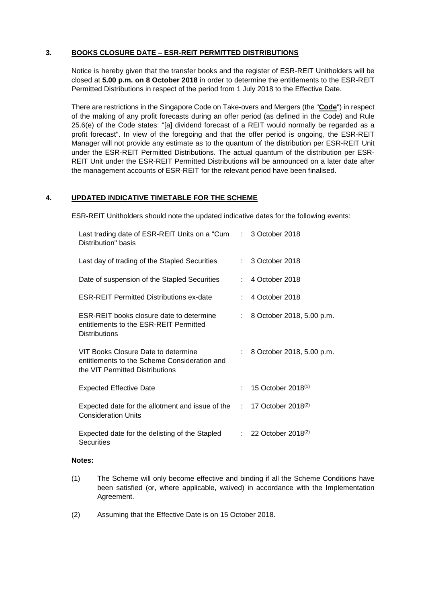# **3. BOOKS CLOSURE DATE – ESR-REIT PERMITTED DISTRIBUTIONS**

Notice is hereby given that the transfer books and the register of ESR-REIT Unitholders will be closed at **5.00 p.m. on 8 October 2018** in order to determine the entitlements to the ESR-REIT Permitted Distributions in respect of the period from 1 July 2018 to the Effective Date.

There are restrictions in the Singapore Code on Take-overs and Mergers (the "**Code**") in respect of the making of any profit forecasts during an offer period (as defined in the Code) and Rule 25.6(e) of the Code states: "[a] dividend forecast of a REIT would normally be regarded as a profit forecast". In view of the foregoing and that the offer period is ongoing, the ESR-REIT Manager will not provide any estimate as to the quantum of the distribution per ESR-REIT Unit under the ESR-REIT Permitted Distributions. The actual quantum of the distribution per ESR-REIT Unit under the ESR-REIT Permitted Distributions will be announced on a later date after the management accounts of ESR-REIT for the relevant period have been finalised.

## **4. UPDATED INDICATIVE TIMETABLE FOR THE SCHEME**

ESR-REIT Unitholders should note the updated indicative dates for the following events:

| Last trading date of ESR-REIT Units on a "Cum : 3 October 2018<br>Distribution" basis                                      |    |                                    |
|----------------------------------------------------------------------------------------------------------------------------|----|------------------------------------|
| Last day of trading of the Stapled Securities                                                                              |    | : 3 October 2018                   |
| Date of suspension of the Stapled Securities                                                                               | t. | 4 October 2018                     |
| <b>ESR-REIT Permitted Distributions ex-date</b>                                                                            |    | $: 4$ October 2018                 |
| <b>ESR-REIT books closure date to determine</b><br>entitlements to the ESR-REIT Permitted<br><b>Distributions</b>          | ÷. | 8 October 2018, 5.00 p.m.          |
| VIT Books Closure Date to determine<br>entitlements to the Scheme Consideration and<br>the VIT Permitted Distributions     |    | 8 October 2018, 5.00 p.m.          |
| <b>Expected Effective Date</b>                                                                                             |    | 15 October 2018 <sup>(1)</sup>     |
| Expected date for the allotment and issue of the $\therefore$ 17 October 2018 <sup>(2)</sup><br><b>Consideration Units</b> |    |                                    |
| Expected date for the delisting of the Stapled<br><b>Securities</b>                                                        |    | $: 22$ October 2018 <sup>(2)</sup> |

#### **Notes:**

- (1) The Scheme will only become effective and binding if all the Scheme Conditions have been satisfied (or, where applicable, waived) in accordance with the Implementation Agreement.
- (2) Assuming that the Effective Date is on 15 October 2018.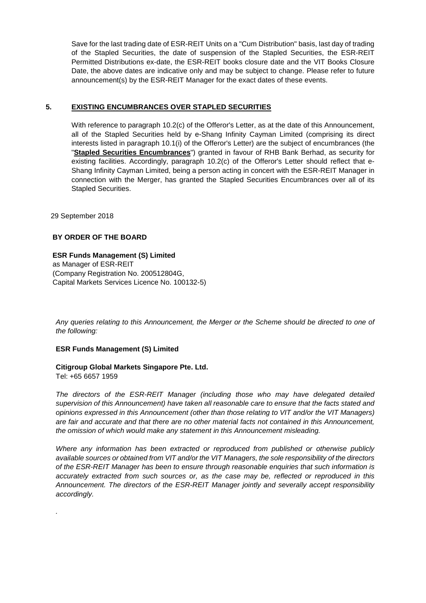Save for the last trading date of ESR-REIT Units on a "Cum Distribution" basis, last day of trading of the Stapled Securities, the date of suspension of the Stapled Securities, the ESR-REIT Permitted Distributions ex-date, the ESR-REIT books closure date and the VIT Books Closure Date, the above dates are indicative only and may be subject to change. Please refer to future announcement(s) by the ESR-REIT Manager for the exact dates of these events.

## **5. EXISTING ENCUMBRANCES OVER STAPLED SECURITIES**

With reference to paragraph 10.2(c) of the Offeror's Letter, as at the date of this Announcement, all of the Stapled Securities held by e-Shang Infinity Cayman Limited (comprising its direct interests listed in paragraph 10.1(i) of the Offeror's Letter) are the subject of encumbrances (the "**Stapled Securities Encumbrances**") granted in favour of RHB Bank Berhad, as security for existing facilities. Accordingly, paragraph 10.2(c) of the Offeror's Letter should reflect that e-Shang Infinity Cayman Limited, being a person acting in concert with the ESR-REIT Manager in connection with the Merger, has granted the Stapled Securities Encumbrances over all of its Stapled Securities.

29 September 2018

## **BY ORDER OF THE BOARD**

# **ESR Funds Management (S) Limited**

as Manager of ESR-REIT (Company Registration No. 200512804G, Capital Markets Services Licence No. 100132-5)

*Any queries relating to this Announcement, the Merger or the Scheme should be directed to one of the following:*

## **ESR Funds Management (S) Limited**

## **Citigroup Global Markets Singapore Pte. Ltd.**

Tel: +65 6657 1959

*.*

*The directors of the ESR-REIT Manager (including those who may have delegated detailed supervision of this Announcement) have taken all reasonable care to ensure that the facts stated and opinions expressed in this Announcement (other than those relating to VIT and/or the VIT Managers) are fair and accurate and that there are no other material facts not contained in this Announcement, the omission of which would make any statement in this Announcement misleading.*

*Where any information has been extracted or reproduced from published or otherwise publicly available sources or obtained from VIT and/or the VIT Managers, the sole responsibility of the directors of the ESR-REIT Manager has been to ensure through reasonable enquiries that such information is accurately extracted from such sources or, as the case may be, reflected or reproduced in this Announcement. The directors of the ESR-REIT Manager jointly and severally accept responsibility accordingly.*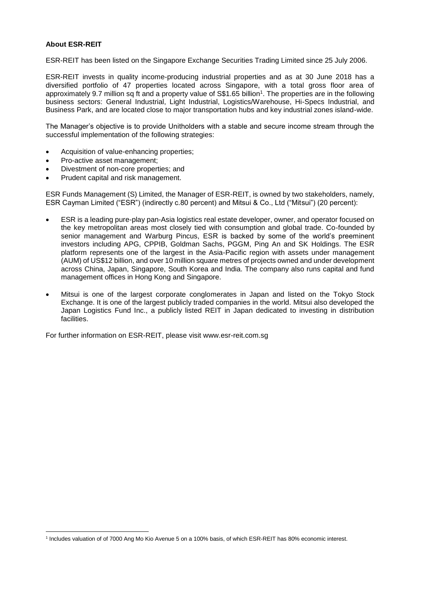### **About ESR-REIT**

ESR-REIT has been listed on the Singapore Exchange Securities Trading Limited since 25 July 2006.

ESR-REIT invests in quality income-producing industrial properties and as at 30 June 2018 has a diversified portfolio of 47 properties located across Singapore, with a total gross floor area of approximately 9.7 million sq ft and a property value of S\$1.65 billion<sup>1</sup>. The properties are in the following business sectors: General Industrial, Light Industrial, Logistics/Warehouse, Hi-Specs Industrial, and Business Park, and are located close to major transportation hubs and key industrial zones island-wide.

The Manager's objective is to provide Unitholders with a stable and secure income stream through the successful implementation of the following strategies:

- Acquisition of value-enhancing properties;
- Pro-active asset management;
- Divestment of non-core properties; and
- Prudent capital and risk management.

ESR Funds Management (S) Limited, the Manager of ESR-REIT, is owned by two stakeholders, namely, ESR Cayman Limited ("ESR") (indirectly c.80 percent) and Mitsui & Co., Ltd ("Mitsui") (20 percent):

- ESR is a leading pure-play pan-Asia logistics real estate developer, owner, and operator focused on the key metropolitan areas most closely tied with consumption and global trade. Co-founded by senior management and Warburg Pincus, ESR is backed by some of the world's preeminent investors including APG, CPPIB, Goldman Sachs, PGGM, Ping An and SK Holdings. The ESR platform represents one of the largest in the Asia-Pacific region with assets under management (AUM) of US\$12 billion, and over 10 million square metres of projects owned and under development across China, Japan, Singapore, South Korea and India. The company also runs capital and fund management offices in Hong Kong and Singapore.
- Mitsui is one of the largest corporate conglomerates in Japan and listed on the Tokyo Stock Exchange. It is one of the largest publicly traded companies in the world. Mitsui also developed the Japan Logistics Fund Inc., a publicly listed REIT in Japan dedicated to investing in distribution facilities.

For further information on ESR-REIT, please visit www.esr-reit.com.sg

 $\overline{a}$ 1 Includes valuation of of 7000 Ang Mo Kio Avenue 5 on a 100% basis, of which ESR-REIT has 80% economic interest.